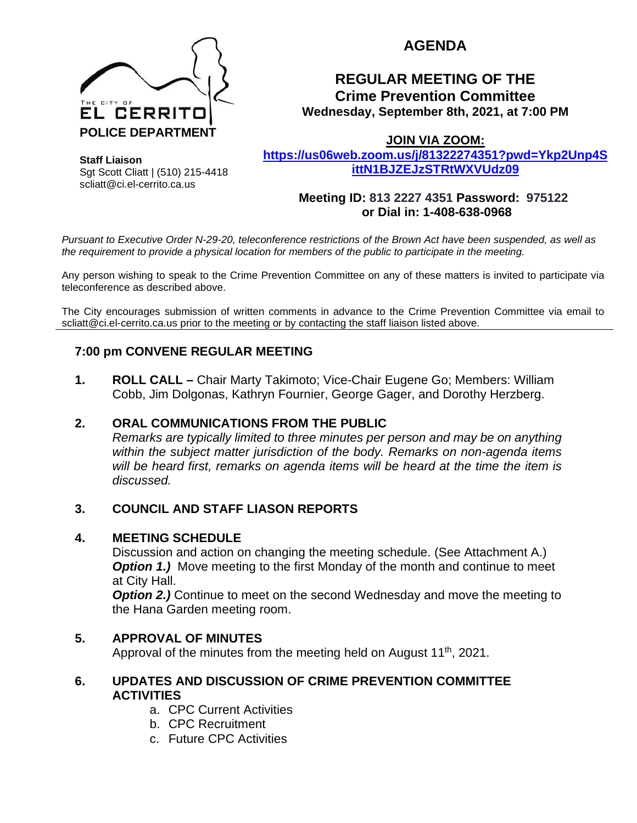

# **AGENDA**

## **REGULAR MEETING OF THE Crime Prevention Committee Wednesday, September 8th, 2021, at 7:00 PM**

**JOIN VIA ZOOM:** 

**Staff Liaison** Sgt Scott Cliatt | (510) 215-4418 scliatt@ci.el-cerrito.ca.us

**[https://us06web.zoom.us/j/81322274351?pwd=Ykp2Unp4S](https://us06web.zoom.us/j/81322274351?pwd=Ykp2Unp4SittN1BJZEJzSTRtWXVUdz09) [ittN1BJZEJzSTRtWXVUdz09](https://us06web.zoom.us/j/81322274351?pwd=Ykp2Unp4SittN1BJZEJzSTRtWXVUdz09)**

#### **Meeting ID: 813 2227 4351 Password: 975122 or Dial in: 1-408-638-0968**

*Pursuant to Executive Order N-29-20, teleconference restrictions of the Brown Act have been suspended, as well as the requirement to provide a physical location for members of the public to participate in the meeting.*

Any person wishing to speak to the Crime Prevention Committee on any of these matters is invited to participate via teleconference as described above.

The City encourages submission of written comments in advance to the Crime Prevention Committee via email to scliatt@ci.el-cerrito.ca.us prior to the meeting or by contacting the staff liaison listed above.

## **7:00 pm CONVENE REGULAR MEETING**

**1. ROLL CALL –** Chair Marty Takimoto; Vice-Chair Eugene Go; Members: William Cobb, Jim Dolgonas, Kathryn Fournier, George Gager, and Dorothy Herzberg.

## **2. ORAL COMMUNICATIONS FROM THE PUBLIC**

*Remarks are typically limited to three minutes per person and may be on anything within the subject matter jurisdiction of the body. Remarks on non-agenda items will be heard first, remarks on agenda items will be heard at the time the item is discussed.* 

## **3. COUNCIL AND STAFF LIASON REPORTS**

#### **4. MEETING SCHEDULE**

Discussion and action on changing the meeting schedule. (See Attachment A.) **Option 1.)** Move meeting to the first Monday of the month and continue to meet at City Hall.

*Option 2.)* Continue to meet on the second Wednesday and move the meeting to the Hana Garden meeting room.

#### **5. APPROVAL OF MINUTES**

Approval of the minutes from the meeting held on August  $11<sup>th</sup>$ , 2021.

#### **6. UPDATES AND DISCUSSION OF CRIME PREVENTION COMMITTEE ACTIVITIES**

- a. CPC Current Activities
- b. CPC Recruitment
- c. Future CPC Activities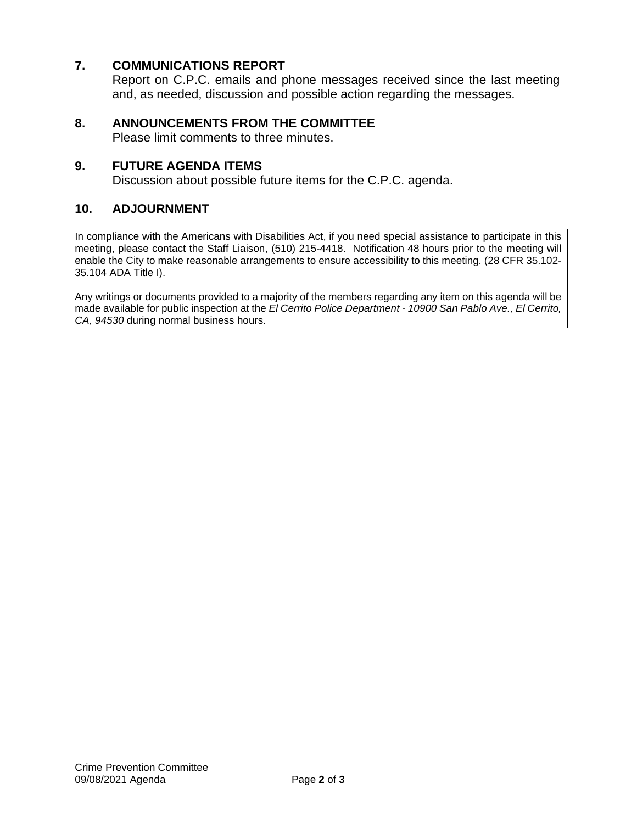## **7. COMMUNICATIONS REPORT**

Report on C.P.C. emails and phone messages received since the last meeting and, as needed, discussion and possible action regarding the messages.

### **8. ANNOUNCEMENTS FROM THE COMMITTEE**

Please limit comments to three minutes.

#### **9. FUTURE AGENDA ITEMS**

Discussion about possible future items for the C.P.C. agenda.

#### **10. ADJOURNMENT**

In compliance with the Americans with Disabilities Act, if you need special assistance to participate in this meeting, please contact the Staff Liaison, (510) 215-4418. Notification 48 hours prior to the meeting will enable the City to make reasonable arrangements to ensure accessibility to this meeting. (28 CFR 35.102- 35.104 ADA Title I).

Any writings or documents provided to a majority of the members regarding any item on this agenda will be made available for public inspection at the *El Cerrito Police Department - 10900 San Pablo Ave., El Cerrito, CA, 94530* during normal business hours.